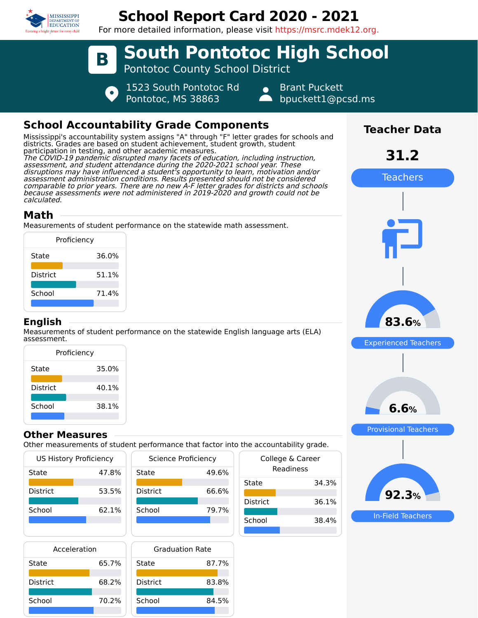

# **School Report Card 2020 - 2021**

For more detailed information, please visit https://msrc.mdek12.org.



# **School Accountability Grade Components**

Mississippi's accountability system assigns "A" through "F" letter grades for schools and districts. Grades are based on student achievement, student growth, student participation in testing, and other academic measures. The COVID-19 pandemic disrupted many facets of education, including instruction, assessment, and student attendance during the 2020-2021 school year. These disruptions may have influenced a student's opportunity to learn, motivation and/or assessment administration conditions. Results presented should not be considered comparable to prior years. There are no new A-F letter grades for districts and schools because assessments were not administered in 2019-2020 and growth could not be calculated.

# **Math**

Measurements of student performance on the statewide math assessment.

| Proficiency     |       |
|-----------------|-------|
| State           | 36.0% |
| <b>District</b> | 51.1% |
| School          | 71.4% |
|                 |       |

#### **English**

Measurements of student performance on the statewide English language arts (ELA) assessment.

| Proficiency     |       |
|-----------------|-------|
| State           | 35.0% |
| <b>District</b> | 40.1% |
| School          | 38.1% |
|                 |       |

#### **Other Measures**

Other measurements of student performance that factor into the accountability grade.

| US History Proficiency |       |
|------------------------|-------|
| State                  | 47.8% |
| <b>District</b>        | 53.5% |
|                        |       |
| School                 | 62.1% |
|                        |       |

| Science Proficiency |       |
|---------------------|-------|
| State               | 49.6% |
| <b>District</b>     | 66.6% |
| School              | 79.7% |
|                     |       |

| Acceleration    |       |  |
|-----------------|-------|--|
| State           | 65.7% |  |
| <b>District</b> | 68.2% |  |
| School          | 70.2% |  |
|                 |       |  |

| <b>Graduation Rate</b> |       |
|------------------------|-------|
| State                  | 87.7% |
| <b>District</b>        | 83.8% |
| School                 | 84.5% |
|                        |       |

| the accountability grade.     |       |
|-------------------------------|-------|
| College & Career<br>Readiness |       |
| State                         | 34.3% |
| District                      | 36.1% |
| School                        | 38.4% |
|                               |       |



In-Field Teachers